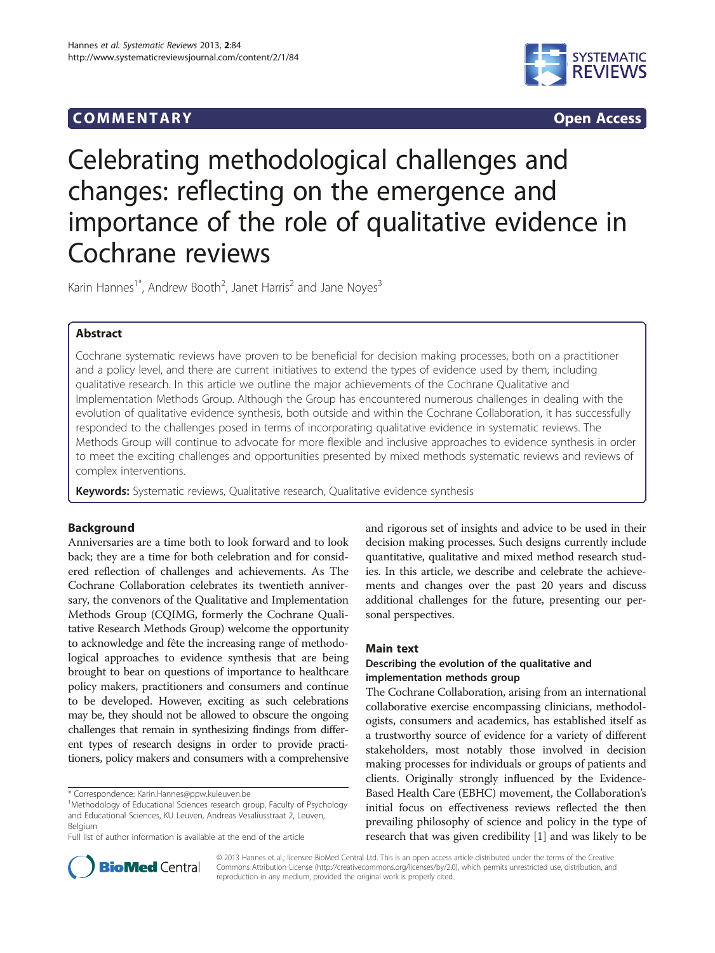## COMM EN TARY Open Access



# Celebrating methodological challenges and changes: reflecting on the emergence and importance of the role of qualitative evidence in Cochrane reviews

Karin Hannes<sup>1\*</sup>, Andrew Booth<sup>2</sup>, Janet Harris<sup>2</sup> and Jane Noyes<sup>3</sup>

## Abstract

Cochrane systematic reviews have proven to be beneficial for decision making processes, both on a practitioner and a policy level, and there are current initiatives to extend the types of evidence used by them, including qualitative research. In this article we outline the major achievements of the Cochrane Qualitative and Implementation Methods Group. Although the Group has encountered numerous challenges in dealing with the evolution of qualitative evidence synthesis, both outside and within the Cochrane Collaboration, it has successfully responded to the challenges posed in terms of incorporating qualitative evidence in systematic reviews. The Methods Group will continue to advocate for more flexible and inclusive approaches to evidence synthesis in order to meet the exciting challenges and opportunities presented by mixed methods systematic reviews and reviews of complex interventions.

Keywords: Systematic reviews, Qualitative research, Qualitative evidence synthesis

## Background

Anniversaries are a time both to look forward and to look back; they are a time for both celebration and for considered reflection of challenges and achievements. As The Cochrane Collaboration celebrates its twentieth anniversary, the convenors of the Qualitative and Implementation Methods Group (CQIMG, formerly the Cochrane Qualitative Research Methods Group) welcome the opportunity to acknowledge and fête the increasing range of methodological approaches to evidence synthesis that are being brought to bear on questions of importance to healthcare policy makers, practitioners and consumers and continue to be developed. However, exciting as such celebrations may be, they should not be allowed to obscure the ongoing challenges that remain in synthesizing findings from different types of research designs in order to provide practitioners, policy makers and consumers with a comprehensive

\* Correspondence: [Karin.Hannes@ppw.kuleuven.be](mailto:Karin.Hannes@ppw.kuleuven.be) <sup>1</sup>

Full list of author information is available at the end of the article

and rigorous set of insights and advice to be used in their decision making processes. Such designs currently include quantitative, qualitative and mixed method research studies. In this article, we describe and celebrate the achievements and changes over the past 20 years and discuss additional challenges for the future, presenting our personal perspectives.

#### Main text

## Describing the evolution of the qualitative and implementation methods group

The Cochrane Collaboration, arising from an international collaborative exercise encompassing clinicians, methodologists, consumers and academics, has established itself as a trustworthy source of evidence for a variety of different stakeholders, most notably those involved in decision making processes for individuals or groups of patients and clients. Originally strongly influenced by the Evidence-Based Health Care (EBHC) movement, the Collaboration's initial focus on effectiveness reviews reflected the then prevailing philosophy of science and policy in the type of research that was given credibility [[1](#page-8-0)] and was likely to be



© 2013 Hannes et al.; licensee BioMed Central Ltd. This is an open access article distributed under the terms of the Creative Commons Attribution License [\(http://creativecommons.org/licenses/by/2.0\)](http://creativecommons.org/licenses/by/2.0), which permits unrestricted use, distribution, and reproduction in any medium, provided the original work is properly cited.

<sup>&</sup>lt;sup>1</sup>Methodology of Educational Sciences research group, Faculty of Psychology and Educational Sciences, KU Leuven, Andreas Vesaliusstraat 2, Leuven, Belgium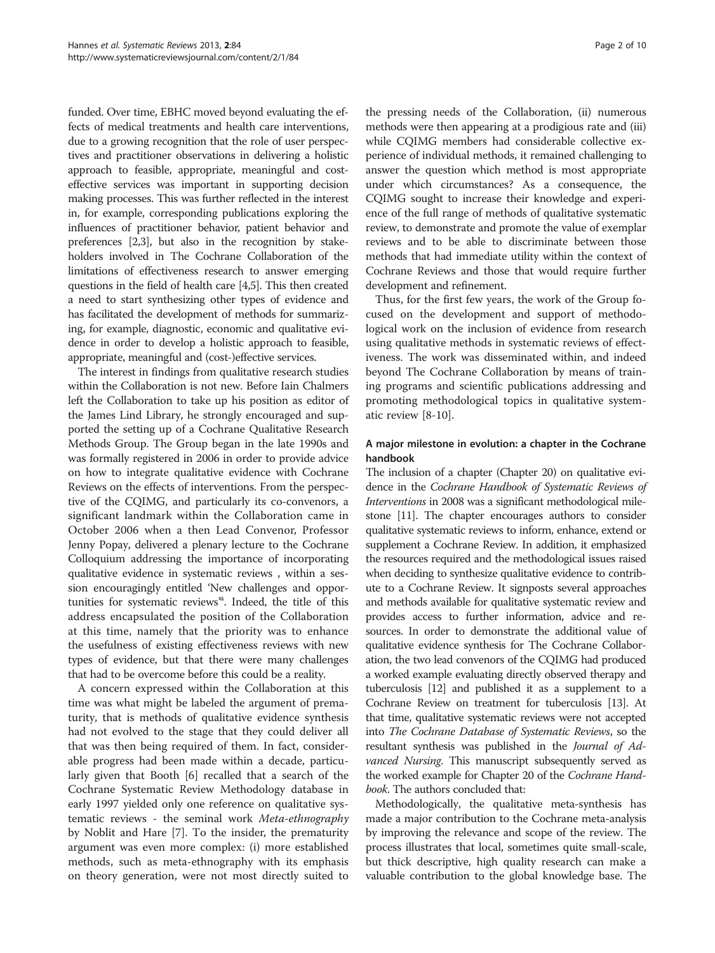funded. Over time, EBHC moved beyond evaluating the effects of medical treatments and health care interventions, due to a growing recognition that the role of user perspectives and practitioner observations in delivering a holistic approach to feasible, appropriate, meaningful and costeffective services was important in supporting decision making processes. This was further reflected in the interest in, for example, corresponding publications exploring the influences of practitioner behavior, patient behavior and preferences [\[2,3\]](#page-8-0), but also in the recognition by stakeholders involved in The Cochrane Collaboration of the limitations of effectiveness research to answer emerging questions in the field of health care [[4,5](#page-8-0)]. This then created a need to start synthesizing other types of evidence and has facilitated the development of methods for summarizing, for example, diagnostic, economic and qualitative evidence in order to develop a holistic approach to feasible, appropriate, meaningful and (cost-)effective services.

The interest in findings from qualitative research studies within the Collaboration is not new. Before Iain Chalmers left the Collaboration to take up his position as editor of the James Lind Library, he strongly encouraged and supported the setting up of a Cochrane Qualitative Research Methods Group. The Group began in the late 1990s and was formally registered in 2006 in order to provide advice on how to integrate qualitative evidence with Cochrane Reviews on the effects of interventions. From the perspective of the CQIMG, and particularly its co-convenors, a significant landmark within the Collaboration came in October 2006 when a then Lead Convenor, Professor Jenny Popay, delivered a plenary lecture to the Cochrane Colloquium addressing the importance of incorporating qualitative evidence in systematic reviews , within a session encouragingly entitled 'New challenges and opportunities for systematic reviews' a . Indeed, the title of this address encapsulated the position of the Collaboration at this time, namely that the priority was to enhance the usefulness of existing effectiveness reviews with new types of evidence, but that there were many challenges that had to be overcome before this could be a reality.

A concern expressed within the Collaboration at this time was what might be labeled the argument of prematurity, that is methods of qualitative evidence synthesis had not evolved to the stage that they could deliver all that was then being required of them. In fact, considerable progress had been made within a decade, particularly given that Booth [\[6](#page-8-0)] recalled that a search of the Cochrane Systematic Review Methodology database in early 1997 yielded only one reference on qualitative systematic reviews - the seminal work Meta-ethnography by Noblit and Hare [\[7\]](#page-8-0). To the insider, the prematurity argument was even more complex: (i) more established methods, such as meta-ethnography with its emphasis on theory generation, were not most directly suited to

the pressing needs of the Collaboration, (ii) numerous methods were then appearing at a prodigious rate and (iii) while CQIMG members had considerable collective experience of individual methods, it remained challenging to answer the question which method is most appropriate under which circumstances? As a consequence, the CQIMG sought to increase their knowledge and experience of the full range of methods of qualitative systematic review, to demonstrate and promote the value of exemplar reviews and to be able to discriminate between those methods that had immediate utility within the context of Cochrane Reviews and those that would require further development and refinement.

Thus, for the first few years, the work of the Group focused on the development and support of methodological work on the inclusion of evidence from research using qualitative methods in systematic reviews of effectiveness. The work was disseminated within, and indeed beyond The Cochrane Collaboration by means of training programs and scientific publications addressing and promoting methodological topics in qualitative systematic review [[8-10](#page-8-0)].

## A major milestone in evolution: a chapter in the Cochrane handbook

The inclusion of a chapter (Chapter 20) on qualitative evidence in the Cochrane Handbook of Systematic Reviews of Interventions in 2008 was a significant methodological milestone [\[11](#page-8-0)]. The chapter encourages authors to consider qualitative systematic reviews to inform, enhance, extend or supplement a Cochrane Review. In addition, it emphasized the resources required and the methodological issues raised when deciding to synthesize qualitative evidence to contribute to a Cochrane Review. It signposts several approaches and methods available for qualitative systematic review and provides access to further information, advice and resources. In order to demonstrate the additional value of qualitative evidence synthesis for The Cochrane Collaboration, the two lead convenors of the CQIMG had produced a worked example evaluating directly observed therapy and tuberculosis [\[12\]](#page-8-0) and published it as a supplement to a Cochrane Review on treatment for tuberculosis [\[13\]](#page-8-0). At that time, qualitative systematic reviews were not accepted into The Cochrane Database of Systematic Reviews, so the resultant synthesis was published in the Journal of Advanced Nursing. This manuscript subsequently served as the worked example for Chapter 20 of the Cochrane Handbook. The authors concluded that:

Methodologically, the qualitative meta-synthesis has made a major contribution to the Cochrane meta-analysis by improving the relevance and scope of the review. The process illustrates that local, sometimes quite small-scale, but thick descriptive, high quality research can make a valuable contribution to the global knowledge base. The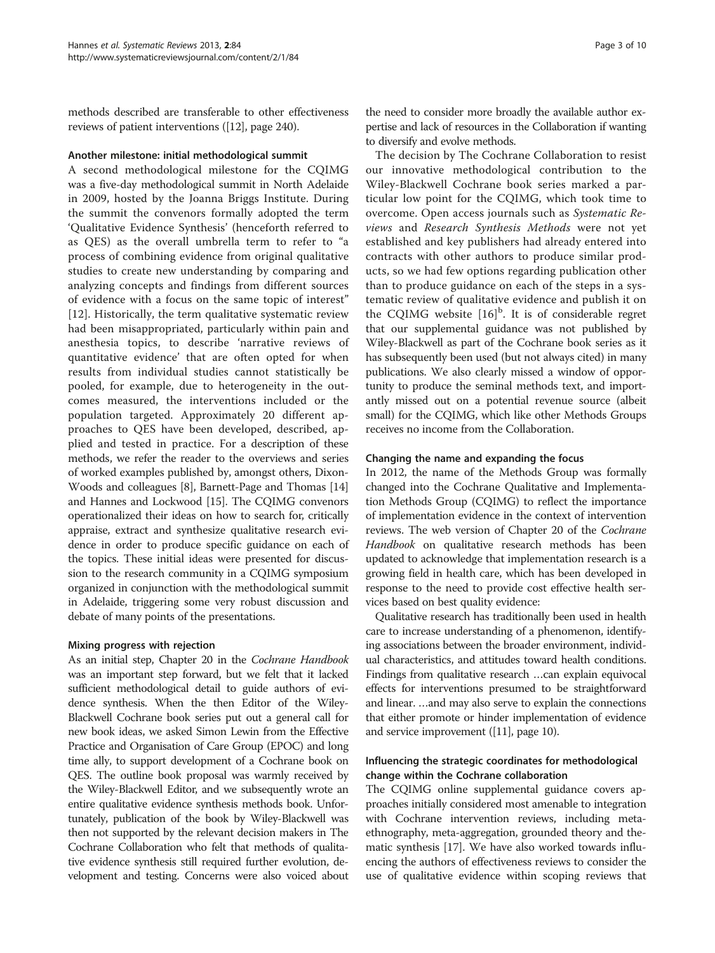methods described are transferable to other effectiveness reviews of patient interventions ([\[12\]](#page-8-0), page 240).

#### Another milestone: initial methodological summit

A second methodological milestone for the CQIMG was a five-day methodological summit in North Adelaide in 2009, hosted by the Joanna Briggs Institute. During the summit the convenors formally adopted the term 'Qualitative Evidence Synthesis' (henceforth referred to as QES) as the overall umbrella term to refer to "a process of combining evidence from original qualitative studies to create new understanding by comparing and analyzing concepts and findings from different sources of evidence with a focus on the same topic of interest" [[12](#page-8-0)]. Historically, the term qualitative systematic review had been misappropriated, particularly within pain and anesthesia topics, to describe 'narrative reviews of quantitative evidence' that are often opted for when results from individual studies cannot statistically be pooled, for example, due to heterogeneity in the outcomes measured, the interventions included or the population targeted. Approximately 20 different approaches to QES have been developed, described, applied and tested in practice. For a description of these methods, we refer the reader to the overviews and series of worked examples published by, amongst others, Dixon-Woods and colleagues [\[8](#page-8-0)], Barnett-Page and Thomas [[14](#page-8-0)] and Hannes and Lockwood [[15\]](#page-8-0). The CQIMG convenors operationalized their ideas on how to search for, critically appraise, extract and synthesize qualitative research evidence in order to produce specific guidance on each of the topics. These initial ideas were presented for discussion to the research community in a CQIMG symposium organized in conjunction with the methodological summit in Adelaide, triggering some very robust discussion and debate of many points of the presentations.

#### Mixing progress with rejection

As an initial step, Chapter 20 in the Cochrane Handbook was an important step forward, but we felt that it lacked sufficient methodological detail to guide authors of evidence synthesis. When the then Editor of the Wiley-Blackwell Cochrane book series put out a general call for new book ideas, we asked Simon Lewin from the Effective Practice and Organisation of Care Group (EPOC) and long time ally, to support development of a Cochrane book on QES. The outline book proposal was warmly received by the Wiley-Blackwell Editor, and we subsequently wrote an entire qualitative evidence synthesis methods book. Unfortunately, publication of the book by Wiley-Blackwell was then not supported by the relevant decision makers in The Cochrane Collaboration who felt that methods of qualitative evidence synthesis still required further evolution, development and testing. Concerns were also voiced about

the need to consider more broadly the available author expertise and lack of resources in the Collaboration if wanting to diversify and evolve methods.

The decision by The Cochrane Collaboration to resist our innovative methodological contribution to the Wiley-Blackwell Cochrane book series marked a particular low point for the CQIMG, which took time to overcome. Open access journals such as Systematic Reviews and Research Synthesis Methods were not yet established and key publishers had already entered into contracts with other authors to produce similar products, so we had few options regarding publication other than to produce guidance on each of the steps in a systematic review of qualitative evidence and publish it on the CQIMG website  $[16]^{b}$  $[16]^{b}$  $[16]^{b}$ . It is of considerable regret that our supplemental guidance was not published by Wiley-Blackwell as part of the Cochrane book series as it has subsequently been used (but not always cited) in many publications. We also clearly missed a window of opportunity to produce the seminal methods text, and importantly missed out on a potential revenue source (albeit small) for the CQIMG, which like other Methods Groups receives no income from the Collaboration.

#### Changing the name and expanding the focus

In 2012, the name of the Methods Group was formally changed into the Cochrane Qualitative and Implementation Methods Group (CQIMG) to reflect the importance of implementation evidence in the context of intervention reviews. The web version of Chapter 20 of the Cochrane Handbook on qualitative research methods has been updated to acknowledge that implementation research is a growing field in health care, which has been developed in response to the need to provide cost effective health services based on best quality evidence:

Qualitative research has traditionally been used in health care to increase understanding of a phenomenon, identifying associations between the broader environment, individual characteristics, and attitudes toward health conditions. Findings from qualitative research …can explain equivocal effects for interventions presumed to be straightforward and linear. …and may also serve to explain the connections that either promote or hinder implementation of evidence and service improvement ([\[11\]](#page-8-0), page 10).

## Influencing the strategic coordinates for methodological change within the Cochrane collaboration

The CQIMG online supplemental guidance covers approaches initially considered most amenable to integration with Cochrane intervention reviews, including metaethnography, meta-aggregation, grounded theory and thematic synthesis [[17](#page-8-0)]. We have also worked towards influencing the authors of effectiveness reviews to consider the use of qualitative evidence within scoping reviews that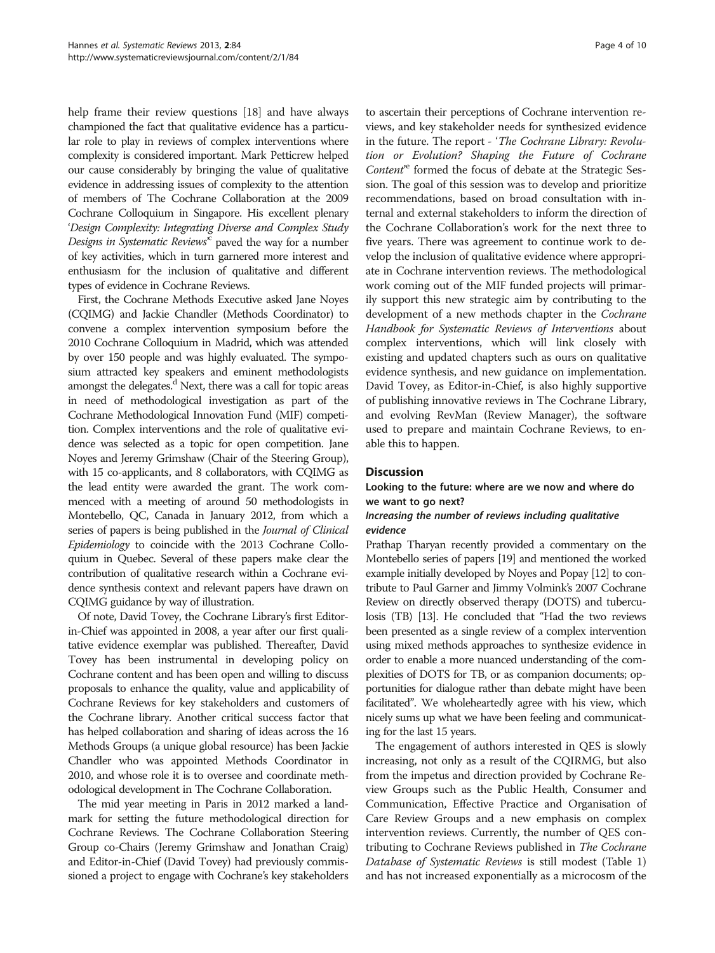help frame their review questions [\[18\]](#page-8-0) and have always championed the fact that qualitative evidence has a particular role to play in reviews of complex interventions where complexity is considered important. Mark Petticrew helped our cause considerably by bringing the value of qualitative evidence in addressing issues of complexity to the attention of members of The Cochrane Collaboration at the 2009 Cochrane Colloquium in Singapore. His excellent plenary 'Design Complexity: Integrating Diverse and Complex Study Designs in Systematic Reviews<sup>x</sup> paved the way for a number of key activities, which in turn garnered more interest and enthusiasm for the inclusion of qualitative and different types of evidence in Cochrane Reviews.

First, the Cochrane Methods Executive asked Jane Noyes (CQIMG) and Jackie Chandler (Methods Coordinator) to convene a complex intervention symposium before the 2010 Cochrane Colloquium in Madrid, which was attended by over 150 people and was highly evaluated. The symposium attracted key speakers and eminent methodologists amongst the delegates.<sup>d</sup> Next, there was a call for topic areas in need of methodological investigation as part of the Cochrane Methodological Innovation Fund (MIF) competition. Complex interventions and the role of qualitative evidence was selected as a topic for open competition. Jane Noyes and Jeremy Grimshaw (Chair of the Steering Group), with 15 co-applicants, and 8 collaborators, with CQIMG as the lead entity were awarded the grant. The work commenced with a meeting of around 50 methodologists in Montebello, QC, Canada in January 2012, from which a series of papers is being published in the *Journal of Clinical* Epidemiology to coincide with the 2013 Cochrane Colloquium in Quebec. Several of these papers make clear the contribution of qualitative research within a Cochrane evidence synthesis context and relevant papers have drawn on CQIMG guidance by way of illustration.

Of note, David Tovey, the Cochrane Library's first Editorin-Chief was appointed in 2008, a year after our first qualitative evidence exemplar was published. Thereafter, David Tovey has been instrumental in developing policy on Cochrane content and has been open and willing to discuss proposals to enhance the quality, value and applicability of Cochrane Reviews for key stakeholders and customers of the Cochrane library. Another critical success factor that has helped collaboration and sharing of ideas across the 16 Methods Groups (a unique global resource) has been Jackie Chandler who was appointed Methods Coordinator in 2010, and whose role it is to oversee and coordinate methodological development in The Cochrane Collaboration.

The mid year meeting in Paris in 2012 marked a landmark for setting the future methodological direction for Cochrane Reviews. The Cochrane Collaboration Steering Group co-Chairs (Jeremy Grimshaw and Jonathan Craig) and Editor-in-Chief (David Tovey) had previously commissioned a project to engage with Cochrane's key stakeholders

to ascertain their perceptions of Cochrane intervention reviews, and key stakeholder needs for synthesized evidence in the future. The report - 'The Cochrane Library: Revolution or Evolution? Shaping the Future of Cochrane Content<sup>'e</sup> formed the focus of debate at the Strategic Session. The goal of this session was to develop and prioritize recommendations, based on broad consultation with internal and external stakeholders to inform the direction of the Cochrane Collaboration's work for the next three to five years. There was agreement to continue work to develop the inclusion of qualitative evidence where appropriate in Cochrane intervention reviews. The methodological work coming out of the MIF funded projects will primarily support this new strategic aim by contributing to the development of a new methods chapter in the Cochrane Handbook for Systematic Reviews of Interventions about complex interventions, which will link closely with existing and updated chapters such as ours on qualitative evidence synthesis, and new guidance on implementation. David Tovey, as Editor-in-Chief, is also highly supportive of publishing innovative reviews in The Cochrane Library, and evolving RevMan (Review Manager), the software used to prepare and maintain Cochrane Reviews, to enable this to happen.

## **Discussion**

## Looking to the future: where are we now and where do we want to go next?

## Increasing the number of reviews including qualitative evidence

Prathap Tharyan recently provided a commentary on the Montebello series of papers [[19\]](#page-8-0) and mentioned the worked example initially developed by Noyes and Popay [[12\]](#page-8-0) to contribute to Paul Garner and Jimmy Volmink's 2007 Cochrane Review on directly observed therapy (DOTS) and tuberculosis (TB) [\[13](#page-8-0)]. He concluded that "Had the two reviews been presented as a single review of a complex intervention using mixed methods approaches to synthesize evidence in order to enable a more nuanced understanding of the complexities of DOTS for TB, or as companion documents; opportunities for dialogue rather than debate might have been facilitated". We wholeheartedly agree with his view, which nicely sums up what we have been feeling and communicating for the last 15 years.

The engagement of authors interested in QES is slowly increasing, not only as a result of the CQIRMG, but also from the impetus and direction provided by Cochrane Review Groups such as the Public Health, Consumer and Communication, Effective Practice and Organisation of Care Review Groups and a new emphasis on complex intervention reviews. Currently, the number of QES contributing to Cochrane Reviews published in The Cochrane Database of Systematic Reviews is still modest (Table [1](#page-4-0)) and has not increased exponentially as a microcosm of the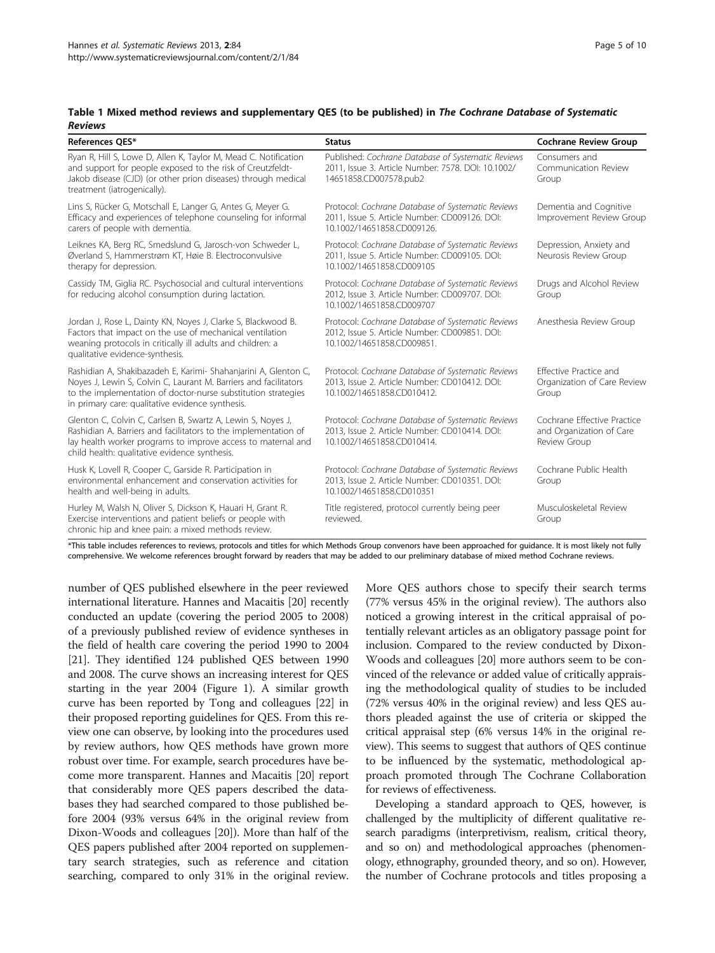<span id="page-4-0"></span>

| Table 1 Mixed method reviews and supplementary QES (to be published) in The Cochrane Database of Systematic |  |
|-------------------------------------------------------------------------------------------------------------|--|
| <b>Reviews</b>                                                                                              |  |

| References OES*                                                                                                                                                                                                                                          | <b>Status</b>                                                                                                                      | <b>Cochrane Review Group</b>                                            |
|----------------------------------------------------------------------------------------------------------------------------------------------------------------------------------------------------------------------------------------------------------|------------------------------------------------------------------------------------------------------------------------------------|-------------------------------------------------------------------------|
| Ryan R, Hill S, Lowe D, Allen K, Taylor M, Mead C. Notification<br>and support for people exposed to the risk of Creutzfeldt-<br>Jakob disease (CJD) (or other prion diseases) through medical<br>treatment (iatrogenically).                            | Published: Cochrane Database of Systematic Reviews<br>2011, Issue 3. Article Number: 7578. DOI: 10.1002/<br>14651858.CD007578.pub2 | Consumers and<br>Communication Review<br>Group                          |
| Lins S, Rücker G, Motschall E, Langer G, Antes G, Meyer G.<br>Efficacy and experiences of telephone counseling for informal<br>carers of people with dementia.                                                                                           | Protocol: Cochrane Database of Systematic Reviews<br>2011, Issue 5. Article Number: CD009126. DOI:<br>10.1002/14651858.CD009126.   | Dementia and Cognitive<br>Improvement Review Group                      |
| Leiknes KA, Berg RC, Smedslund G, Jarosch-von Schweder L,<br>Øverland S, Hammerstrøm KT, Høie B. Electroconvulsive<br>therapy for depression.                                                                                                            | Protocol: Cochrane Database of Systematic Reviews<br>2011, Issue 5. Article Number: CD009105. DOI:<br>10.1002/14651858.CD009105    | Depression, Anxiety and<br>Neurosis Review Group                        |
| Cassidy TM, Giglia RC. Psychosocial and cultural interventions<br>for reducing alcohol consumption during lactation.                                                                                                                                     | Protocol: Cochrane Database of Systematic Reviews<br>2012, Issue 3. Article Number: CD009707. DOI:<br>10.1002/14651858.CD009707    | Drugs and Alcohol Review<br>Group                                       |
| Jordan J, Rose L, Dainty KN, Noyes J, Clarke S, Blackwood B.<br>Factors that impact on the use of mechanical ventilation<br>weaning protocols in critically ill adults and children: a<br>qualitative evidence-synthesis.                                | Protocol: Cochrane Database of Systematic Reviews<br>2012, Issue 5. Article Number: CD009851. DOI:<br>10.1002/14651858.CD009851.   | Anesthesia Review Group                                                 |
| Rashidian A, Shakibazadeh E, Karimi- Shahanjarini A, Glenton C,<br>Noyes J, Lewin S, Colvin C, Laurant M. Barriers and facilitators<br>to the implementation of doctor-nurse substitution strategies<br>in primary care: qualitative evidence synthesis. | Protocol: Cochrane Database of Systematic Reviews<br>2013, Issue 2. Article Number: CD010412. DOI:<br>10.1002/14651858.CD010412.   | Effective Practice and<br>Organization of Care Review<br>Group          |
| Glenton C, Colvin C, Carlsen B, Swartz A, Lewin S, Noyes J,<br>Rashidian A. Barriers and facilitators to the implementation of<br>lay health worker programs to improve access to maternal and<br>child health: qualitative evidence synthesis.          | Protocol: Cochrane Database of Systematic Reviews<br>2013, Issue 2. Article Number: CD010414. DOI:<br>10.1002/14651858.CD010414.   | Cochrane Effective Practice<br>and Organization of Care<br>Review Group |
| Husk K, Lovell R, Cooper C, Garside R. Participation in<br>environmental enhancement and conservation activities for<br>health and well-being in adults.                                                                                                 | Protocol: Cochrane Database of Systematic Reviews<br>2013, Issue 2. Article Number: CD010351. DOI:<br>10.1002/14651858.CD010351    | Cochrane Public Health<br>Group                                         |
| Hurley M, Walsh N, Oliver S, Dickson K, Hauari H, Grant R.<br>Exercise interventions and patient beliefs or people with<br>chronic hip and knee pain: a mixed methods review.                                                                            | Title registered, protocol currently being peer<br>reviewed.                                                                       | Musculoskeletal Review<br>Group                                         |

\*This table includes references to reviews, protocols and titles for which Methods Group convenors have been approached for guidance. It is most likely not fully comprehensive. We welcome references brought forward by readers that may be added to our preliminary database of mixed method Cochrane reviews.

number of QES published elsewhere in the peer reviewed international literature. Hannes and Macaitis [\[20\]](#page-8-0) recently conducted an update (covering the period 2005 to 2008) of a previously published review of evidence syntheses in the field of health care covering the period 1990 to 2004 [[21](#page-8-0)]. They identified 124 published QES between 1990 and 2008. The curve shows an increasing interest for QES starting in the year 2004 (Figure [1](#page-5-0)). A similar growth curve has been reported by Tong and colleagues [\[22\]](#page-8-0) in their proposed reporting guidelines for QES. From this review one can observe, by looking into the procedures used by review authors, how QES methods have grown more robust over time. For example, search procedures have become more transparent. Hannes and Macaitis [[20](#page-8-0)] report that considerably more QES papers described the databases they had searched compared to those published before 2004 (93% versus 64% in the original review from Dixon-Woods and colleagues [[20](#page-8-0)]). More than half of the QES papers published after 2004 reported on supplementary search strategies, such as reference and citation searching, compared to only 31% in the original review.

More QES authors chose to specify their search terms (77% versus 45% in the original review). The authors also noticed a growing interest in the critical appraisal of potentially relevant articles as an obligatory passage point for inclusion. Compared to the review conducted by Dixon-Woods and colleagues [[20](#page-8-0)] more authors seem to be convinced of the relevance or added value of critically appraising the methodological quality of studies to be included (72% versus 40% in the original review) and less QES authors pleaded against the use of criteria or skipped the critical appraisal step (6% versus 14% in the original review). This seems to suggest that authors of QES continue to be influenced by the systematic, methodological approach promoted through The Cochrane Collaboration for reviews of effectiveness.

Developing a standard approach to QES, however, is challenged by the multiplicity of different qualitative research paradigms (interpretivism, realism, critical theory, and so on) and methodological approaches (phenomenology, ethnography, grounded theory, and so on). However, the number of Cochrane protocols and titles proposing a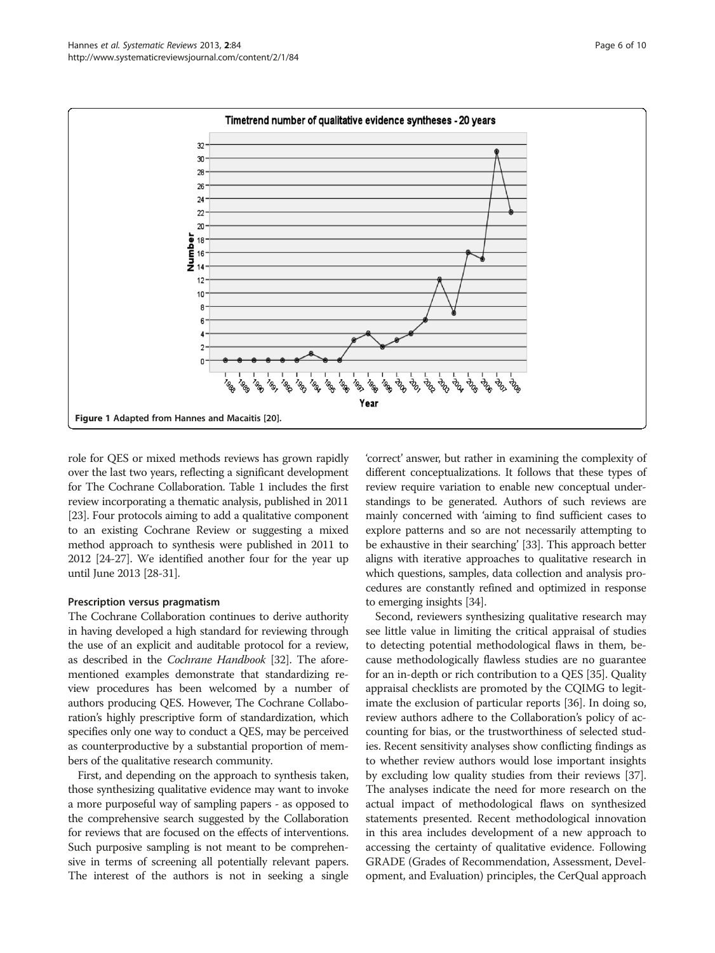<span id="page-5-0"></span>

role for QES or mixed methods reviews has grown rapidly over the last two years, reflecting a significant development for The Cochrane Collaboration. Table [1](#page-4-0) includes the first review incorporating a thematic analysis, published in 2011 [[23](#page-8-0)]. Four protocols aiming to add a qualitative component to an existing Cochrane Review or suggesting a mixed method approach to synthesis were published in 2011 to 2012 [[24](#page-8-0)-[27](#page-8-0)]. We identified another four for the year up until June 2013 [[28-31\]](#page-8-0).

#### Prescription versus pragmatism

The Cochrane Collaboration continues to derive authority in having developed a high standard for reviewing through the use of an explicit and auditable protocol for a review, as described in the Cochrane Handbook [[32](#page-8-0)]. The aforementioned examples demonstrate that standardizing review procedures has been welcomed by a number of authors producing QES. However, The Cochrane Collaboration's highly prescriptive form of standardization, which specifies only one way to conduct a QES, may be perceived as counterproductive by a substantial proportion of members of the qualitative research community.

First, and depending on the approach to synthesis taken, those synthesizing qualitative evidence may want to invoke a more purposeful way of sampling papers - as opposed to the comprehensive search suggested by the Collaboration for reviews that are focused on the effects of interventions. Such purposive sampling is not meant to be comprehensive in terms of screening all potentially relevant papers. The interest of the authors is not in seeking a single

'correct' answer, but rather in examining the complexity of different conceptualizations. It follows that these types of review require variation to enable new conceptual understandings to be generated. Authors of such reviews are mainly concerned with 'aiming to find sufficient cases to explore patterns and so are not necessarily attempting to be exhaustive in their searching' [\[33\]](#page-8-0). This approach better aligns with iterative approaches to qualitative research in which questions, samples, data collection and analysis procedures are constantly refined and optimized in response to emerging insights [[34](#page-8-0)].

Second, reviewers synthesizing qualitative research may see little value in limiting the critical appraisal of studies to detecting potential methodological flaws in them, because methodologically flawless studies are no guarantee for an in-depth or rich contribution to a QES [[35](#page-8-0)]. Quality appraisal checklists are promoted by the CQIMG to legitimate the exclusion of particular reports [[36\]](#page-8-0). In doing so, review authors adhere to the Collaboration's policy of accounting for bias, or the trustworthiness of selected studies. Recent sensitivity analyses show conflicting findings as to whether review authors would lose important insights by excluding low quality studies from their reviews [[37](#page-8-0)]. The analyses indicate the need for more research on the actual impact of methodological flaws on synthesized statements presented. Recent methodological innovation in this area includes development of a new approach to accessing the certainty of qualitative evidence. Following GRADE (Grades of Recommendation, Assessment, Development, and Evaluation) principles, the CerQual approach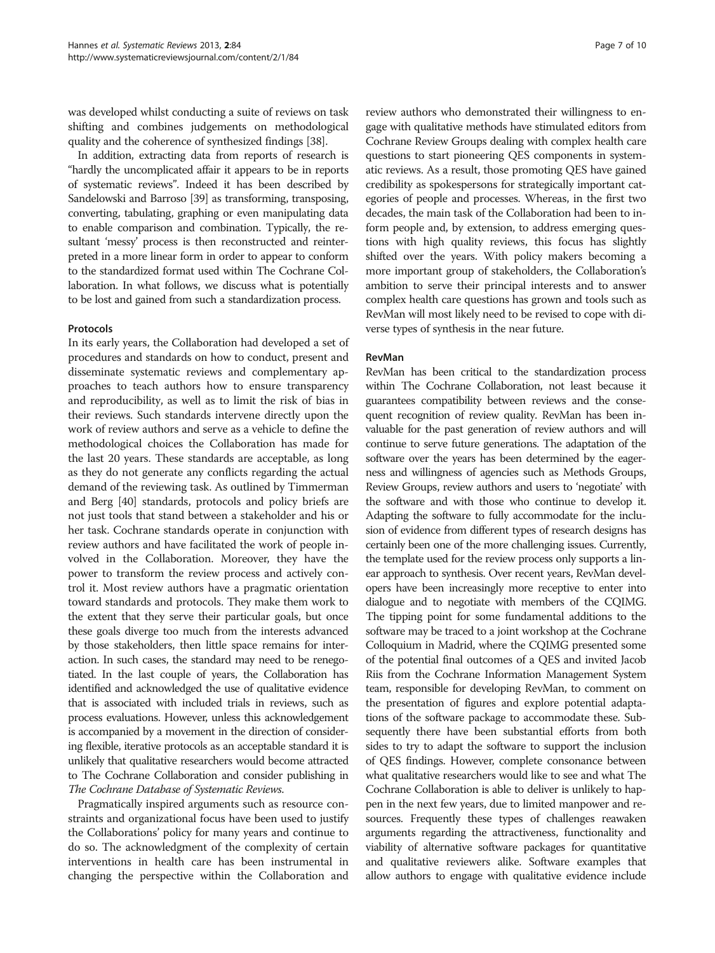was developed whilst conducting a suite of reviews on task shifting and combines judgements on methodological quality and the coherence of synthesized findings [\[38\]](#page-8-0).

In addition, extracting data from reports of research is "hardly the uncomplicated affair it appears to be in reports of systematic reviews". Indeed it has been described by Sandelowski and Barroso [\[39\]](#page-8-0) as transforming, transposing, converting, tabulating, graphing or even manipulating data to enable comparison and combination. Typically, the resultant 'messy' process is then reconstructed and reinterpreted in a more linear form in order to appear to conform to the standardized format used within The Cochrane Collaboration. In what follows, we discuss what is potentially to be lost and gained from such a standardization process.

#### Protocols

In its early years, the Collaboration had developed a set of procedures and standards on how to conduct, present and disseminate systematic reviews and complementary approaches to teach authors how to ensure transparency and reproducibility, as well as to limit the risk of bias in their reviews. Such standards intervene directly upon the work of review authors and serve as a vehicle to define the methodological choices the Collaboration has made for the last 20 years. These standards are acceptable, as long as they do not generate any conflicts regarding the actual demand of the reviewing task. As outlined by Timmerman and Berg [\[40](#page-9-0)] standards, protocols and policy briefs are not just tools that stand between a stakeholder and his or her task. Cochrane standards operate in conjunction with review authors and have facilitated the work of people involved in the Collaboration. Moreover, they have the power to transform the review process and actively control it. Most review authors have a pragmatic orientation toward standards and protocols. They make them work to the extent that they serve their particular goals, but once these goals diverge too much from the interests advanced by those stakeholders, then little space remains for interaction. In such cases, the standard may need to be renegotiated. In the last couple of years, the Collaboration has identified and acknowledged the use of qualitative evidence that is associated with included trials in reviews, such as process evaluations. However, unless this acknowledgement is accompanied by a movement in the direction of considering flexible, iterative protocols as an acceptable standard it is unlikely that qualitative researchers would become attracted to The Cochrane Collaboration and consider publishing in The Cochrane Database of Systematic Reviews.

Pragmatically inspired arguments such as resource constraints and organizational focus have been used to justify the Collaborations' policy for many years and continue to do so. The acknowledgment of the complexity of certain interventions in health care has been instrumental in changing the perspective within the Collaboration and

review authors who demonstrated their willingness to engage with qualitative methods have stimulated editors from Cochrane Review Groups dealing with complex health care questions to start pioneering QES components in systematic reviews. As a result, those promoting QES have gained credibility as spokespersons for strategically important categories of people and processes. Whereas, in the first two decades, the main task of the Collaboration had been to inform people and, by extension, to address emerging questions with high quality reviews, this focus has slightly shifted over the years. With policy makers becoming a more important group of stakeholders, the Collaboration's ambition to serve their principal interests and to answer complex health care questions has grown and tools such as RevMan will most likely need to be revised to cope with diverse types of synthesis in the near future.

## RevMan

RevMan has been critical to the standardization process within The Cochrane Collaboration, not least because it guarantees compatibility between reviews and the consequent recognition of review quality. RevMan has been invaluable for the past generation of review authors and will continue to serve future generations. The adaptation of the software over the years has been determined by the eagerness and willingness of agencies such as Methods Groups, Review Groups, review authors and users to 'negotiate' with the software and with those who continue to develop it. Adapting the software to fully accommodate for the inclusion of evidence from different types of research designs has certainly been one of the more challenging issues. Currently, the template used for the review process only supports a linear approach to synthesis. Over recent years, RevMan developers have been increasingly more receptive to enter into dialogue and to negotiate with members of the CQIMG. The tipping point for some fundamental additions to the software may be traced to a joint workshop at the Cochrane Colloquium in Madrid, where the CQIMG presented some of the potential final outcomes of a QES and invited Jacob Riis from the Cochrane Information Management System team, responsible for developing RevMan, to comment on the presentation of figures and explore potential adaptations of the software package to accommodate these. Subsequently there have been substantial efforts from both sides to try to adapt the software to support the inclusion of QES findings. However, complete consonance between what qualitative researchers would like to see and what The Cochrane Collaboration is able to deliver is unlikely to happen in the next few years, due to limited manpower and resources. Frequently these types of challenges reawaken arguments regarding the attractiveness, functionality and viability of alternative software packages for quantitative and qualitative reviewers alike. Software examples that allow authors to engage with qualitative evidence include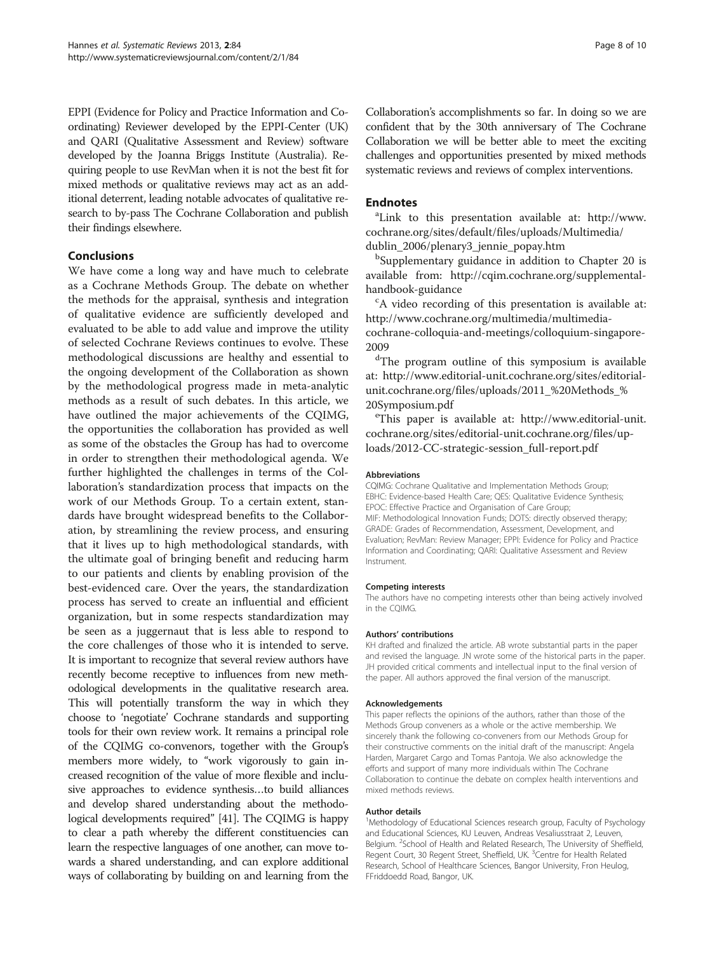<span id="page-7-0"></span>EPPI (Evidence for Policy and Practice Information and Coordinating) Reviewer developed by the EPPI-Center (UK) and QARI (Qualitative Assessment and Review) software developed by the Joanna Briggs Institute (Australia). Requiring people to use RevMan when it is not the best fit for mixed methods or qualitative reviews may act as an additional deterrent, leading notable advocates of qualitative research to by-pass The Cochrane Collaboration and publish their findings elsewhere.

## Conclusions

We have come a long way and have much to celebrate as a Cochrane Methods Group. The debate on whether the methods for the appraisal, synthesis and integration of qualitative evidence are sufficiently developed and evaluated to be able to add value and improve the utility of selected Cochrane Reviews continues to evolve. These methodological discussions are healthy and essential to the ongoing development of the Collaboration as shown by the methodological progress made in meta-analytic methods as a result of such debates. In this article, we have outlined the major achievements of the CQIMG, the opportunities the collaboration has provided as well as some of the obstacles the Group has had to overcome in order to strengthen their methodological agenda. We further highlighted the challenges in terms of the Collaboration's standardization process that impacts on the work of our Methods Group. To a certain extent, standards have brought widespread benefits to the Collaboration, by streamlining the review process, and ensuring that it lives up to high methodological standards, with the ultimate goal of bringing benefit and reducing harm to our patients and clients by enabling provision of the best-evidenced care. Over the years, the standardization process has served to create an influential and efficient organization, but in some respects standardization may be seen as a juggernaut that is less able to respond to the core challenges of those who it is intended to serve. It is important to recognize that several review authors have recently become receptive to influences from new methodological developments in the qualitative research area. This will potentially transform the way in which they choose to 'negotiate' Cochrane standards and supporting tools for their own review work. It remains a principal role of the CQIMG co-convenors, together with the Group's members more widely, to "work vigorously to gain increased recognition of the value of more flexible and inclusive approaches to evidence synthesis…to build alliances and develop shared understanding about the methodological developments required" [\[41](#page-9-0)]. The CQIMG is happy to clear a path whereby the different constituencies can learn the respective languages of one another, can move towards a shared understanding, and can explore additional ways of collaborating by building on and learning from the

Collaboration's accomplishments so far. In doing so we are confident that by the 30th anniversary of The Cochrane Collaboration we will be better able to meet the exciting challenges and opportunities presented by mixed methods systematic reviews and reviews of complex interventions.

## **Endnotes**

Link to this presentation available at: [http://www.](http://www.cochrane.org/sites/default/files/uploads/Multimedia/dublin_2006/plenary3_jennie_popay.htm) [cochrane.org/sites/default/files/uploads/Multimedia/](http://www.cochrane.org/sites/default/files/uploads/Multimedia/dublin_2006/plenary3_jennie_popay.htm) [dublin\\_2006/plenary3\\_jennie\\_popay.htm](http://www.cochrane.org/sites/default/files/uploads/Multimedia/dublin_2006/plenary3_jennie_popay.htm)

<sup>b</sup>Supplementary guidance in addition to Chapter 20 is available from: [http://cqim.cochrane.org/supplemental](http://cqim.cochrane.org/supplemental-handbook-guidance)[handbook-guidance](http://cqim.cochrane.org/supplemental-handbook-guidance)

A video recording of this presentation is available at: [http://www.cochrane.org/multimedia/multimedia](http://www.cochrane.org/multimedia/multimedia-cochrane-colloquia-and-meetings/colloquium-singapore-2009)[cochrane-colloquia-and-meetings/colloquium-singapore-](http://www.cochrane.org/multimedia/multimedia-cochrane-colloquia-and-meetings/colloquium-singapore-2009)[2009](http://www.cochrane.org/multimedia/multimedia-cochrane-colloquia-and-meetings/colloquium-singapore-2009)

<sup>d</sup>The program outline of this symposium is available at: [http://www.editorial-unit.cochrane.org/sites/editorial](http://www.editorial-unit.cochrane.org/sites/editorial-unit.cochrane.org/files/uploads/2011_%20Methods_%20Symposium.pdf)[unit.cochrane.org/files/uploads/2011\\_%20Methods\\_%](http://www.editorial-unit.cochrane.org/sites/editorial-unit.cochrane.org/files/uploads/2011_%20Methods_%20Symposium.pdf) [20Symposium.pdf](http://www.editorial-unit.cochrane.org/sites/editorial-unit.cochrane.org/files/uploads/2011_%20Methods_%20Symposium.pdf)

This paper is available at: [http://www.editorial-unit.](http://www.editorial-unit.cochrane.org/sites/editorial-unit.cochrane.org/files/uploads/2012-CC-strategic-session_full-report.pdf) [cochrane.org/sites/editorial-unit.cochrane.org/files/up](http://www.editorial-unit.cochrane.org/sites/editorial-unit.cochrane.org/files/uploads/2012-CC-strategic-session_full-report.pdf)[loads/2012-CC-strategic-session\\_full-report.pdf](http://www.editorial-unit.cochrane.org/sites/editorial-unit.cochrane.org/files/uploads/2012-CC-strategic-session_full-report.pdf)

#### Abbreviations

CQIMG: Cochrane Qualitative and Implementation Methods Group; EBHC: Evidence-based Health Care; QES: Qualitative Evidence Synthesis; EPOC: Effective Practice and Organisation of Care Group; MIF: Methodological Innovation Funds; DOTS: directly observed therapy; GRADE: Grades of Recommendation, Assessment, Development, and Evaluation; RevMan: Review Manager; EPPI: Evidence for Policy and Practice Information and Coordinating; QARI: Qualitative Assessment and Review Instrument.

#### Competing interests

The authors have no competing interests other than being actively involved in the CQIMG.

#### Authors' contributions

KH drafted and finalized the article. AB wrote substantial parts in the paper and revised the language. JN wrote some of the historical parts in the paper. JH provided critical comments and intellectual input to the final version of the paper. All authors approved the final version of the manuscript.

#### Acknowledgements

This paper reflects the opinions of the authors, rather than those of the Methods Group conveners as a whole or the active membership. We sincerely thank the following co-conveners from our Methods Group for their constructive comments on the initial draft of the manuscript: Angela Harden, Margaret Cargo and Tomas Pantoja. We also acknowledge the efforts and support of many more individuals within The Cochrane Collaboration to continue the debate on complex health interventions and mixed methods reviews.

#### Author details

<sup>1</sup>Methodology of Educational Sciences research group, Faculty of Psychology and Educational Sciences, KU Leuven, Andreas Vesaliusstraat 2, Leuven, Belgium. <sup>2</sup>School of Health and Related Research, The University of Sheffield Regent Court, 30 Regent Street, Sheffield, UK. <sup>3</sup>Centre for Health Related Research, School of Healthcare Sciences, Bangor University, Fron Heulog, FFriddoedd Road, Bangor, UK.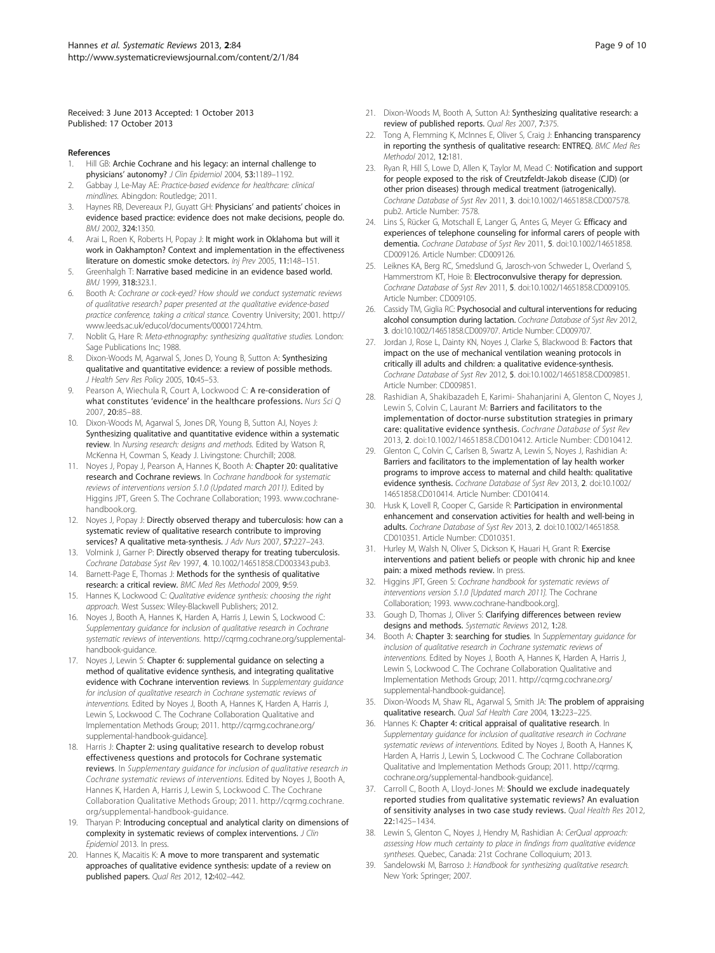<span id="page-8-0"></span>Received: 3 June 2013 Accepted: 1 October 2013 Published: 17 October 2013

#### References

- 1. Hill GB: Archie Cochrane and his legacy: an internal challenge to physicians' autonomy? J Clin Epidemiol 2004, 53:1189–1192.
- 2. Gabbay J, Le-May AE: Practice-based evidence for healthcare: clinical mindlines. Abingdon: Routledge; 2011.
- 3. Haynes RB, Devereaux PJ, Guyatt GH: Physicians' and patients' choices in evidence based practice: evidence does not make decisions, people do. BMJ 2002, 324:1350.
- 4. Arai L, Roen K, Roberts H, Popay J: It might work in Oklahoma but will it work in Oakhampton? Context and implementation in the effectiveness literature on domestic smoke detectors. Inj Prev 2005, 11:148–151.
- 5. Greenhalgh T: Narrative based medicine in an evidence based world. BMJ 1999, 318:323.1.
- 6. Booth A: Cochrane or cock-eyed? How should we conduct systematic reviews of qualitative research? paper presented at the qualitative evidence-based practice conference, taking a critical stance. Coventry University; 2001. [http://](http://www.leeds.ac.uk/educol/documents/00001724.htm) [www.leeds.ac.uk/educol/documents/00001724.htm](http://www.leeds.ac.uk/educol/documents/00001724.htm).
- Noblit G, Hare R: Meta-ethnography: synthesizing qualitative studies. London: Sage Publications Inc: 1988.
- 8. Dixon-Woods M, Agarwal S, Jones D, Young B, Sutton A: Synthesizing qualitative and quantitative evidence: a review of possible methods. J Health Serv Res Policy 2005, 10:45-53.
- Pearson A, Wiechula R, Court A, Lockwood C: A re-consideration of what constitutes 'evidence' in the healthcare professions. Nurs Sci Q 2007, 20:85–88.
- 10. Dixon-Woods M, Agarwal S, Jones DR, Young B, Sutton AJ, Noyes J: Synthesizing qualitative and quantitative evidence within a systematic review. In Nursing research: designs and methods. Edited by Watson R, McKenna H, Cowman S, Keady J. Livingstone: Churchill; 2008.
- 11. Noyes J, Popay J, Pearson A, Hannes K, Booth A: Chapter 20: qualitative research and Cochrane reviews. In Cochrane handbook for systematic reviews of interventions version 5.1.0 (Updated march 2011). Edited by Higgins JPT, Green S. The Cochrane Collaboration; 1993. [www.cochrane](http://www.cochrane-handbook.org/)[handbook.org.](http://www.cochrane-handbook.org/)
- 12. Noyes J, Popay J: Directly observed therapy and tuberculosis: how can a systematic review of qualitative research contribute to improving services? A qualitative meta-synthesis. J Adv Nurs 2007, 57:227–243.
- 13. Volmink J, Garner P: Directly observed therapy for treating tuberculosis. Cochrane Database Syst Rev 1997, 4. 10.1002/14651858.CD003343.pub3.
- 14. Barnett-Page E, Thomas J: Methods for the synthesis of qualitative research: a critical review. BMC Med Res Methodol 2009, 9:59.
- 15. Hannes K, Lockwood C: Qualitative evidence synthesis: choosing the right approach. West Sussex: Wiley-Blackwell Publishers; 2012.
- 16. Noyes J, Booth A, Hannes K, Harden A, Harris J, Lewin S, Lockwood C: Supplementary guidance for inclusion of qualitative research in Cochrane systematic reviews of interventions. [http://cqrmg.cochrane.org/supplemental](http://cqrmg.cochrane.org/supplemental-handbook-guidance)[handbook-guidance](http://cqrmg.cochrane.org/supplemental-handbook-guidance).
- 17. Noyes J, Lewin S: Chapter 6: supplemental guidance on selecting a method of qualitative evidence synthesis, and integrating qualitative evidence with Cochrane intervention reviews. In Supplementary guidance for inclusion of qualitative research in Cochrane systematic reviews of interventions. Edited by Noyes J, Booth A, Hannes K, Harden A, Harris J, Lewin S, Lockwood C. The Cochrane Collaboration Qualitative and Implementation Methods Group; 2011. [http://cqrmg.cochrane.org/](http://cqrmg.cochrane.org/supplemental-handbook-guidance) [supplemental-handbook-guidance\]](http://cqrmg.cochrane.org/supplemental-handbook-guidance).
- 18. Harris J: Chapter 2: using qualitative research to develop robust effectiveness questions and protocols for Cochrane systematic reviews. In Supplementary guidance for inclusion of qualitative research in Cochrane systematic reviews of interventions. Edited by Noyes J, Booth A, Hannes K, Harden A, Harris J, Lewin S, Lockwood C. The Cochrane Collaboration Qualitative Methods Group; 2011. [http://cqrmg.cochrane.](http://cqrmg.cochrane.org/supplemental-handbook-guidance) [org/supplemental-handbook-guidance.](http://cqrmg.cochrane.org/supplemental-handbook-guidance)
- 19. Tharyan P: Introducing conceptual and analytical clarity on dimensions of complexity in systematic reviews of complex interventions. J Clin Epidemiol 2013. In press.
- 20. Hannes K, Macaitis K: A move to more transparent and systematic approaches of qualitative evidence synthesis: update of a review on published papers. Qual Res 2012, 12:402–442.
- 21. Dixon-Woods M, Booth A, Sutton AJ: Synthesizing qualitative research: a review of published reports. Qual Res 2007, 7:375.
- 22. Tong A, Flemming K, McInnes E, Oliver S, Craig J: Enhancing transparency in reporting the synthesis of qualitative research: ENTREQ. BMC Med Res Methodol 2012, 12:181.
- 23. Ryan R, Hill S, Lowe D, Allen K, Taylor M, Mead C: Notification and support for people exposed to the risk of Creutzfeldt-Jakob disease (CJD) (or other prion diseases) through medical treatment (iatrogenically). Cochrane Database of Syst Rev 2011, 3. doi:10.1002/14651858.CD007578. pub2. Article Number: 7578.
- 24. Lins S, Rücker G, Motschall E, Langer G, Antes G, Meyer G: Efficacy and experiences of telephone counseling for informal carers of people with dementia. Cochrane Database of Syst Rev 2011, 5. doi:10.1002/14651858. CD009126. Article Number: CD009126.
- 25. Leiknes KA, Berg RC, Smedslund G, Jarosch-von Schweder L, Overland S, Hammerstrom KT, Hoie B: Electroconvulsive therapy for depression. Cochrane Database of Syst Rev 2011, 5. doi:10.1002/14651858.CD009105. Article Number: CD009105.
- 26. Cassidy TM, Giglia RC: Psychosocial and cultural interventions for reducing alcohol consumption during lactation. Cochrane Database of Syst Rev 2012, 3. doi:10.1002/14651858.CD009707. Article Number: CD009707.
- 27. Jordan J, Rose L, Dainty KN, Noyes J, Clarke S, Blackwood B: Factors that impact on the use of mechanical ventilation weaning protocols in critically ill adults and children: a qualitative evidence-synthesis. Cochrane Database of Syst Rev 2012, 5. doi:10.1002/14651858.CD009851. Article Number: CD009851.
- 28. Rashidian A, Shakibazadeh E, Karimi- Shahanjarini A, Glenton C, Noyes J, Lewin S, Colvin C, Laurant M: Barriers and facilitators to the implementation of doctor-nurse substitution strategies in primary care: qualitative evidence synthesis. Cochrane Database of Syst Rev 2013, 2. doi:10.1002/14651858.CD010412. Article Number: CD010412.
- 29. Glenton C, Colvin C, Carlsen B, Swartz A, Lewin S, Noyes J, Rashidian A: Barriers and facilitators to the implementation of lay health worker programs to improve access to maternal and child health: qualitative evidence synthesis. Cochrane Database of Syst Rev 2013, 2. doi:10.1002/ 14651858.CD010414. Article Number: CD010414.
- 30. Husk K, Lovell R, Cooper C, Garside R: Participation in environmental enhancement and conservation activities for health and well-being in adults. Cochrane Database of Syst Rev 2013, 2. doi:10.1002/14651858. CD010351. Article Number: CD010351.
- 31. Hurley M, Walsh N, Oliver S, Dickson K, Hauari H, Grant R: Exercise interventions and patient beliefs or people with chronic hip and knee pain: a mixed methods review. In press.
- 32. Higgins JPT, Green S: Cochrane handbook for systematic reviews of interventions version 5.1.0 [Updated march 2011]. The Cochrane Collaboration; 1993. [www.cochrane-handbook.org\]](http://www.cochrane-handbook.org/).
- 33. Gough D, Thomas J, Oliver S: Clarifying differences between review designs and methods. Systematic Reviews 2012, 1:28.
- 34. Booth A: Chapter 3: searching for studies. In Supplementary guidance for inclusion of qualitative research in Cochrane systematic reviews of interventions. Edited by Noyes J, Booth A, Hannes K, Harden A, Harris J, Lewin S, Lockwood C. The Cochrane Collaboration Qualitative and Implementation Methods Group; 2011. [http://cqrmg.cochrane.org/](http://cqrmg.cochrane.org/supplemental-handbook-guidance) [supplemental-handbook-guidance\]](http://cqrmg.cochrane.org/supplemental-handbook-guidance).
- 35. Dixon-Woods M, Shaw RL, Agarwal S, Smith JA: The problem of appraising qualitative research. Qual Saf Health Care 2004, 13:223–225.
- Hannes K: Chapter 4: critical appraisal of qualitative research. In Supplementary guidance for inclusion of qualitative research in Cochrane systematic reviews of interventions. Edited by Noyes J, Booth A, Hannes K, Harden A, Harris J, Lewin S, Lockwood C. The Cochrane Collaboration Qualitative and Implementation Methods Group; 2011. [http://cqrmg.](http://cqrmg.cochrane.org/supplemental-handbook-guidance) [cochrane.org/supplemental-handbook-guidance\]](http://cqrmg.cochrane.org/supplemental-handbook-guidance).
- 37. Carroll C, Booth A, Lloyd-Jones M: Should we exclude inadequately reported studies from qualitative systematic reviews? An evaluation of sensitivity analyses in two case study reviews. Qual Health Res 2012, 22:1425–1434.
- 38. Lewin S, Glenton C, Noyes J, Hendry M, Rashidian A: CerQual approach: assessing How much certainty to place in findings from qualitative evidence syntheses. Quebec, Canada: 21st Cochrane Colloquium; 2013.
- 39. Sandelowski M, Barroso J: Handbook for synthesizing qualitative research. New York: Springer; 2007.